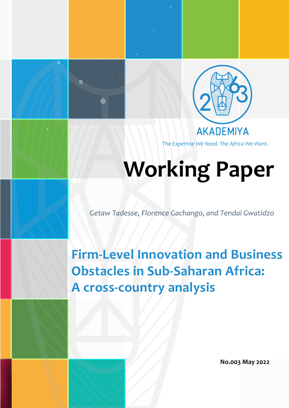

*The Expertise We Need. The Africa We Want.*

# **Working Paper**

*Getaw Tadesse, Florence Gachango, and Tendai Gwatidzo*

**Firm-Level Innovation and Business Obstacles in Sub-Saharan Africa: A cross-country analysis**

**No.003 May 2022**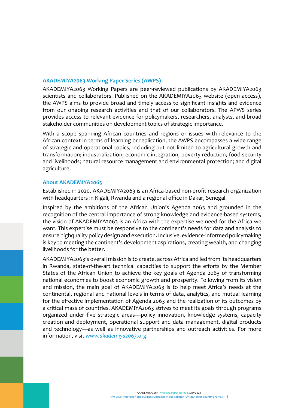# **AKADEMIYA2063 Working Paper Series (AWPS)**

AKADEMIYA2063 Working Papers are peer-reviewed publications by AKADEMIYA2063 scientists and collaborators. Published on the AKADEMIYA2063 website (open access), the AWPS aims to provide broad and timely access to significant insights and evidence from our ongoing research activities and that of our collaborators. The APWS series provides access to relevant evidence for policymakers, researchers, analysts, and broad stakeholder communities on development topics of strategic importance.

With a scope spanning African countries and regions or issues with relevance to the African context in terms of learning or replication, the AWPS encompasses a wide range of strategic and operational topics, including but not limited to agricultural growth and transformation; industrialization; economic integration; poverty reduction, food security and livelihoods; natural resource management and environmental protection; and digital agriculture.

# **About AKADEMIYA2063**

Established in 2020, AKADEMIYA2063 is an Africa-based non-profit research organization with headquarters in Kigali, Rwanda and a regional office in Dakar, Senegal.

Inspired by the ambitions of the African Union's Agenda 2063 and grounded in the recognition of the central importance of strong knowledge and evidence-based systems, the vision of AKADEMIYA2063 is an Africa with the expertise we need for the Africa we want. This expertise must be responsive to the continent's needs for data and analysis to ensure highquality policy design and execution. Inclusive, evidence-informed policymaking is key to meeting the continent's development aspirations, creating wealth, and changing livelihoods for the better.

AKADEMIYA2063's overall mission is to create, across Africa and led from its headquarters in Rwanda, state-of-the-art technical capacities to support the efforts by the Member States of the African Union to achieve the key goals of Agenda 2063 of transforming national economies to boost economic growth and prosperity. Following from its vision and mission, the main goal of AKADEMIYA2063 is to help meet Africa's needs at the continental, regional and national levels in terms of data, analytics, and mutual learning for the effective implementation of Agenda 2063 and the realization of its outcomes by a critical mass of countries. AKADEMIYA2063 strives to meet its goals through programs organized under five strategic areas—policy innovation, knowledge systems, capacity creation and deployment, operational support and data management, digital products and technology—as well as innovative partnerships and outreach activities. For more information, visit *[www.akademiya2063.org.](http://www.akademiya2063.org)*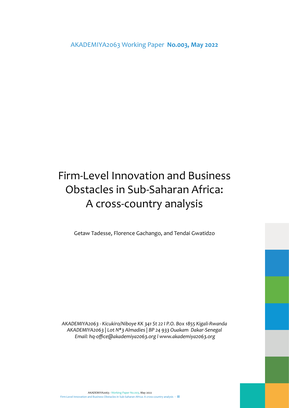AKADEMIYA2063 Working Paper **No.003, May 2022**

# Firm-Level Innovation and Business Obstacles in Sub-Saharan Africa: A cross-country analysis

Getaw Tadesse, Florence Gachango, and Tendai Gwatidzo

*AKADEMIYA2063 - Kicukiro/Niboye KK 341 St 22 I P.O. Box 1855 Kigali-Rwanda AKADEMIYA2063 | Lot N\*3 Almadies | BP 24 933 Ouakam Dakar-Senegal Email: hq-office@akademiya2063.org l www.akademiya2063.org*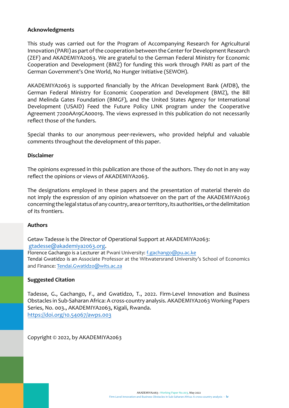# **Acknowledgments**

This study was carried out for the Program of Accompanying Research for Agricultural Innovation (PARI) as part of the cooperation between the Center for Development Research (ZEF) and AKADEMIYA2063. We are grateful to the German Federal Ministry for Economic Cooperation and Development (BMZ) for funding this work through PARI as part of the German Government's One World, No Hunger Initiative (SEWOH).

AKADEMIYA2063 is supported financially by the African Development Bank (AfDB), the German Federal Ministry for Economic Cooperation and Development (BMZ), the Bill and Melinda Gates Foundation (BMGF), and the United States Agency for International Development (USAID) Feed the Future Policy LINK program under the Cooperative Agreement 7200AA19CA00019. The views expressed in this publication do not necessarily reflect those of the funders.

Special thanks to our anonymous peer-reviewers, who provided helpful and valuable comments throughout the development of this paper.

# **Disclaimer**

The opinions expressed in this publication are those of the authors. They do not in any way reflect the opinions or views of AKADEMIYA2063.

The designations employed in these papers and the presentation of material therein do not imply the expression of any opinion whatsoever on the part of the AKADEMIYA2063 concerning the legal status of any country, area or territory, its authorities, or the delimitation of its frontiers.

# **Authors**

Getaw Tadesse is the Director of Operational Support at AKADEMIYA2063: [gtadesse@akademiya2063.org](http://perspective.usherbrooke.ca/bilan/tend/MLI/fr/SP.POP.TOTL.html). Florence Gachango is a Lecturer at Pwani University: [f.gachango@pu.ac.ke](https://www.unicef.org/mali/media/2296/file/PLAN%20D%E2%80%99ACTION%20MULTISECTORIEL%20DE%20NUTRITION%202014-2018.pdf)

Tendai Gwatidzo is an Associate Professor at the Witwatersrand University's School of Economics and Finance: [Tendai.Gwatidzo@wits.ac.za](https://www.fao.org/3/i9626fr/I9626FR.pdf)

# **Suggested Citation**

Tadesse, G., Gachango, F., and Gwatidzo, T., 2022. Firm-Level Innovation and Business Obstacles in Sub-Saharan Africa: A cross-country analysis. AKADEMIYA2063 Working Papers Series, No. 003., AKADEMIYA2063, Kigali, Rwanda. https://doi.org/10.54067/awps.003

Copyright © 2022, by AKADEMIYA2063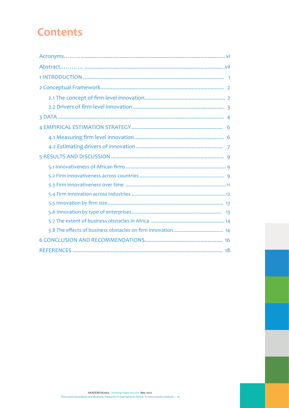# **Contents**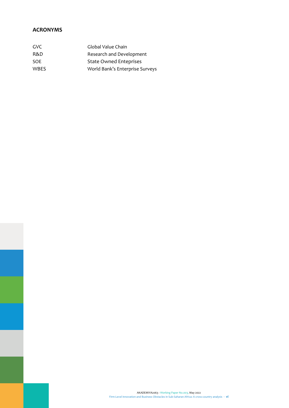# **ACRONYMS**

| GVC. | Global Value Chain              |
|------|---------------------------------|
| R&D  | Research and Development        |
| SOE. | <b>State Owned Enteprises</b>   |
| WBES | World Bank's Enterprise Surveys |
|      |                                 |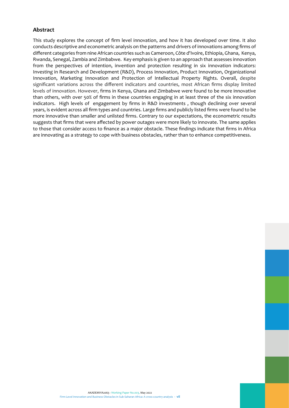# **Abstract**

This study explores the concept of firm level innovation, and how it has developed over time. It also conducts descriptive and econometric analysis on the patterns and drivers of innovations among firms of different categories from nine African countries such as Cameroon, Côte d'Ivoire, Ethiopia, Ghana, Kenya, Rwanda, Senegal, Zambia and Zimbabwe. Key emphasis is given to an approach that assesses innovation from the perspectives of intention, invention and protection resulting in six innovation indicators: Investing in Research and Development (R&D), Process Innovation, Product Innovation, Organizational Innovation, Marketing Innovation and Protection of Intellectual Property Rights. Overall, despite significant variations across the different indicators and countries, most African firms display limited levels of innovation. However, firms in Kenya, Ghana and Zimbabwe were found to be more innovative than others, with over 50% of firms in these countries engaging in at least three of the six innovation indicators. High levels of engagement by firms in R&D investments , though declining over several years, is evident across all firm types and countries. Large firms and publicly listed firms were found to be more innovative than smaller and unlisted firms. Contrary to our expectations, the econometric results suggests that firms that were affected by power outages were more likely to innovate. The same applies to those that consider access to finance as a major obstacle. These findings indicate that firms in Africa are innovating as a strategy to cope with business obstacles, rather than to enhance competitiveness.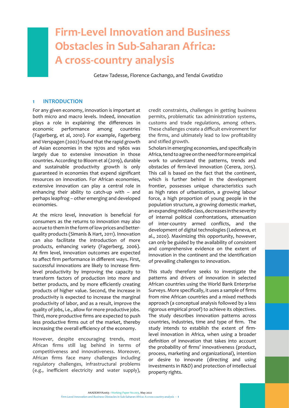# <span id="page-7-0"></span>**Firm-Level Innovation and Business Obstacles in Sub-Saharan Africa: A cross-country analysis**

Getaw Tadesse, Florence Gachango, and Tendai Gwatidzo

#### **1 INTRODUCTION**

For any given economy, innovation is important at both micro and macro levels. Indeed, innovation plays a role in explaining the differences in economic performance among countries (Fagerberg, et al, 2010). For example, Fagerberg and Verspagen (2002) found that the rapid growth of Asian economies in the 1970s and 1980s was largely due to extensive innovation in those countries. According to Bloom et al (2019), durable and sustainable productivity growth is only guaranteed in economies that expend significant resources on innovation. For African economies, extensive innovation can play a central role in enhancing their ability to catch-up with – and perhaps leapfrog – other emerging and developed economies.

At the micro level, innovation is beneficial for consumers as the returns to innovation may also accrue to them in the form of low prices and betterquality products (Simanis & Hart, 2011). Innovation can also facilitate the introduction of more products, enhancing variety (Fagerberg, 2006). At firm level, innovation outcomes are expected to affect firm performance in different ways. First, successful innovations are likely to increase firmlevel productivity by improving the capacity to transform factors of production into more and better products, and by more efficiently creating products of higher value. Second, the increase in productivity is expected to increase the marginal productivity of labor, and as a result, improve the quality of jobs, i.e., allow for more productive jobs. Third, more productive firms are expected to push less productive firms out of the market, thereby increasing the overall efficiency of the economy.

However, despite encouraging trends, most African firms still lag behind in terms of competitiveness and innovativeness. Moreover, African firms face many challenges including regulatory challenges, infrastructural problems (e.g., inefficient electricity and water supply),

credit constraints, challenges in getting business permits, problematic tax administration systems, customs and trade regulations, among others. These challenges create a difficult environment for the firms, and ultimately lead to low profitability and stifled growth.

Scholars in emerging economies, and specifically in Africa, tend to agree on the need for more empirical work to understand the patterns, trends and obstacles of firm-level innovation (Cerera, 2015). This call is based on the fact that the continent, which is further behind in the development frontier, possesses unique characteristics such as high rates of urbanization, a growing labour force, a high proportion of young people in the population structure, a growing domestic market, an expanding middle class, decreases in the severity of internal political confrontations, attenuation of inter-country armed conflicts, and the development of digital technologies (Ledeneva, et al., 2020). Maximizing this opportunity, however, can only be guided by the availability of consistent and comprehensive evidence on the extent of innovation in the continent and the identification of prevailing challenges to innovation.

This study therefore seeks to investigate the patterns and drivers of innovation in selected African countries using the World Bank Enterprise Surveys. More specifically, it uses a sample of firms from nine African countries and a mixed methods approach (a conceptual analysis followed by a less rigorous empirical proof) to achieve its objectives. The study describes innovation patterns across countries, industries, time and type of firm. The study intends to establish the extent of firmlevel innovation in Africa, when using a broader definition of innovation that takes into account the probability of firms' innovativeness (product, process, marketing and organizational), intention or desire to innovate (directing and using investments in R&D) and protection of intellectual property rights.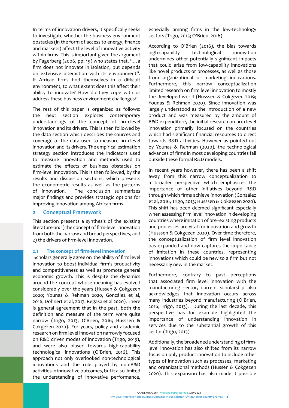<span id="page-8-0"></span>In terms of innovation drivers, it specifically seeks to investigate whether the business environment obstacles (in the form of access to energy, finance and markets) affect the level of innovative activity within firms. This is important given the argument by Fagerberg (2006, pp. 19) who states that, "…a firm does not innovate in isolation, but depends on extensive interaction with its environment". If African firms find themselves in a difficult environment, to what extent does this affect their ability to innovate? How do they cope with or address these business environment challenges?

The rest of this paper is organized as follows: the next section explores contemporary understandings of the concept of firm-level innovation and its drivers. This is then followed by the data section which describes the sources and coverage of the data used to measure firm-level innovation and its drivers. The empirical estimation strategy section introduces the indicators used to measure innovation and methods used to estimate the effects of business obstacles on firm-level innovation. This is then followed, by the results and discussion sections, which presents the econometric results as well as the patterns of innovation. The conclusion summarizes major findings and provides strategic options for improving innovation among African firms.

# **2 Conceptual Framework**

This section presents a synthesis of the existing literature on: 1) the concept of firm-level innovation from both the narrow and broad perspectives, and 2) the drivers of firm-level innovation.

#### **2.1 The concept of firm-level innovation**

 Scholars generally agree on the ability of firm level innovation to boost individual firm's productivity and competitiveness as well as promote general economic growth. This is despite the dynamics around the concept whose meaning has evolved considerably over the years (Hussen & Çokgezen 2020; Younas & Rehman 2020, González et al, 2016, Dohnert et al, 2017; Regasa et al 2020). There is general agreement that in the past, both the definition and measure of the term were quite narrow (Trigo, 2013; O'Brien, 2016; Husssen & Cokgezen 2020). For years, policy and academic research on firm level innovation narrowly focused on R&D driven modes of innovation (Trigo, 2013), and were also biased towards high-capability technological innovations (O'Brien, 2016). This approach not only overlooked non-technological innovations and the role played by non-R&D activities in innovative outcomes, but it also limited the understanding of innovative performance,

especially among firms in the low-technology sectors (Trigo, 2013; O'Brien, 2016).

According to O'Brien (2016), the bias towards high-capability technological innovation undermines other potentially significant impacts that could arise from low-capability innovations like novel products or processes, as well as those from organizational or marketing innovations. Furthermore, this narrow conceptualization limited research on firm level innovation to mostly the developed world (Husssen & Cokgezen 2019; Younas & Rehman 2020). Since innovation was largely understood as the introduction of a new product and was measured by the amount of R&D expenditure, the initial research on firm level innovation primarily focused on the countries which had significant financial resources to direct towards R&D activities. However as pointed out by Younas & Rehman (2020), the technological advances of firms in most developing countries fall outside these formal R&D models.

In recent years however, there has been a shift away from this narrow conceptualization to a broader perspective which emphasizes the importance of other initiatives beyond R&D through which firms achieve innovation (González et al, 2016, Trigo, 2013; Husssen & Cokgezen 2020). This shift has been deemed significant especially when assessing firm level innovation in developing countries where imitation of pre–existing products and processes are vital for innovation and growth (Husssen & Cokgezen 2020). Over time therefore, the conceptualization of firm level innovation has expanded and now captures the importance of imitation in these countries, representing innovations which could be new to a firm but not necessarily new in the market.

Furthermore, contrary to past perceptions that associated firm level innovation with the manufacturing sector, current scholarship also acknowledges that innovation occurs across many industries beyond manufacturing (O'Brien, 2016; Trigo, 2013). During the last decade, this perspective has for example highlighted the importance of understanding innovation in services due to the substantial growth of this sector (Trigo, 2013).

Additionally, the broadened understanding of firmlevel innovation has also shifted from its narrow focus on only product innovation to include other types of innovation such as processes, marketing and organizational methods (Hussen & Çokgezen 2020). This expansion has also made it possible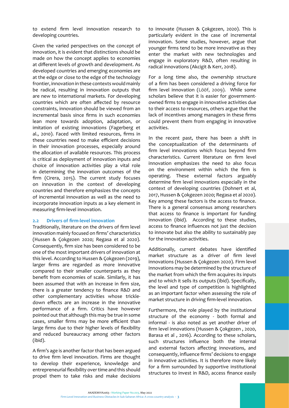<span id="page-9-0"></span>to extend firm level innovation research to developing countries.

Given the varied perspectives on the concept of innovation, it is evident that distinctions should be made on how the concept applies to economies at different levels of growth and development. As developed countries and emerging economies are at the edge or close to the edge of the technology frontier, innovation in these contexts would mainly be radical, resulting in innovation outputs that are new to international markets. For developing countries which are often affected by resource constraints, innovation should be viewed from an incremental basis since firms in such economies lean more towards adoption, adaptation, or imitation of existing innovations (Fagerberg et al., 2010). Faced with limited resources, firms in these countries need to make efficient decisions in their innovation processes, especially around the allocation of available resources. This process is critical as deployment of innovation inputs and choice of innovation activities play a vital role in determining the innovation outcomes of the firm (Cirera, 2015). The current study focuses on innovation in the context of developing countries and therefore emphasizes the concepts of incremental innovation as well as the need to incorporate innovation inputs as a key element in measuring firm-level innovation.

#### **2.2 Drivers of firm-level innovation**

Traditionally, literature on the drivers of firm level innovation mainly focused on firms' characteristics (Hussen & Çokgezen 2020; Regasa et al 2020). Consequently, firm size has been considered to be one of the most important drivers of innovation at this level. According to Hussen & Çokgezen (2019), larger firms are regarded as more innovative compared to their smaller counterparts as they benefit from economies of scale. Similarly, it has been assumed that with an increase in firm size, there is a greater tendency to finance R&D and other complementary activities whose trickledown effects are an increase in the innovative performance of a firm. Critics have however pointed out that although this may be true in some cases, smaller firms may be more efficient than large firms due to their higher levels of flexibility and reduced bureaucracy among other factors (ibid).

A firm's age is another factor that has been argued to drive firm level innovation. Firms are thought to develop their experience, knowledge and entrepreneurial flexibility over time and this should propel them to take risks and make decisions to innovate (Hussen & Çokgezen, 2020). This is particularly evident in the case of incremental innovation. Some studies, however, argue that younger firms tend to be more innovative as they enter the market with new technologies and engage in exploratory R&D, often resulting in radical innovations (Akcigit & Kerr, 2018).

For a long time also, the ownership structure of a firm has been considered a driving force for firm level innovation (Lööf, 2009). While some scholars believe that it is easier for governmentowned firms to engage in innovative activities due to their access to resources, others argue that the lack of incentives among managers in these firms could prevent them from engaging in innovative activities.

In the recent past, there has been a shift in the conceptualization of the determinants of firm level innovations which focus beyond firm characteristics. Current literature on firm level innovation emphasizes the need to also focus on the environment within which the firm is operating. These external factors arguably determine firm level innovations especially in the context of developing countries (Dohnert et al, 2017, Hussen & Çokgezen 2020; Regasa et al 2020). Key among these factors is the access to finance. There is a general consensus among researchers that access to finance is important for funding innovation (ibid). According to these studies, access to finance influences not just the decision to innovate but also the ability to sustainably pay for the innovation activities.

Additionally, current debates have identified market structure as a driver of firm level innovations (Hussen & Çokgezen 2020). Firm level innovations may be determined by the structure of the market from which the firm acquires its inputs and to which it sells its outputs (ibid). Specifically, the level and type of competition is highlighted as an important factor when assessing the role of market structure in driving firm-level innovation.

Furthermore, the role played by the institutional structure of the economy - both formal and informal - is also noted as yet another driver of firm level innovations (Hussen & Çokgezen , 2020, Barasa et al , 2016). According to these scholars, such structures influence both the internal and external factors affecting innovations, and consequently, influence firms' decisions to engage in innovative activities. It is therefore more likely for a firm surrounded by supportive institutional structures to invest in R&D, access finance easily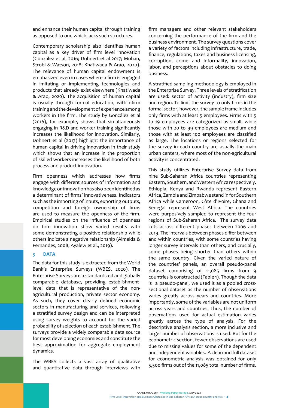<span id="page-10-0"></span>and enhance their human capital through training as opposed to one which lacks such structures.

Contemporary scholarship also identifies human capital as a key driver of firm level innovation (González et al, 2016; Dohnert et al 2017; Mohan, Strobl & Watson, 2018; Khatiwada & Arao, 2020). The relevance of human capital endowment is emphasized even in cases where a firm is engaged in imitating or implementing technologies and products that already exist elsewhere (Khatiwada & Arao, 2020). The acquisition of human capital is usually through formal education, within-firm training and the development of experience among workers in the firm. The study by González et al (2016), for example, shows that simultaneously engaging in R&D and worker training significantly increases the likelihood for innovation. Similarly, Dohnert et al (2017) highlight the importance of human capital in driving innovation in their study which shows that an increase in the proportion of skilled workers increases the likelihood of both process and product innovation.

Firm openness which addresses how firms engage with different sources of information and knowledge on innovation has also been identified as a determinant of firms' innovativeness. Indicators such as the importing of inputs, exporting outputs, competition and foreign ownership of firms are used to measure the openness of the firm. Empirical studies on the influence of openness on firm innovation show varied results with some demonstrating a positive relationship while others indicate a negative relationship (Almeida & Fernandes, 2008; Ayalew et al., 2019).

#### **3 DATA**

The data for this study is extracted from the World Bank's Enterprise Surveys (WBES, 2020). The Enterprise Surveys are a standardized and globally comparable database, providing establishmentlevel data that is representative of the nonagricultural production, private sector economy. As such, they cover clearly defined economic sectors in manufacturing and services, following a stratified survey design and can be interpreted using survey weights to account for the varied probability of selection of each establishment. The surveys provide a widely comparable data source for most developing economies and constitute the best approximation for aggregate employment dynamics.

The WBES collects a vast array of qualitative and quantitative data through interviews with

firm managers and other relevant stakeholders concerning the performance of the firm and the business environment. The survey questions cover a variety of factors including infrastructure, trade, finance, regulations, taxes and business licensing, corruption, crime and informality, innovation, labor, and perceptions about obstacles to doing business.

A stratified sampling methodology is employed in the Enterprise Survey. Three levels of stratification are used: sector of activity (industry), firm size and region. To limit the survey to only firms in the formal sector, however, the sample frame includes only firms with at least 5 employees. Firms with 5 to 19 employees are categorized as small, while those with 20 to 99 employees are medium and those with at least 100 employees are classified as large. The locations or regions selected for the survey in each country are usually the main urban centers, where most of the non-agricultural activity is concentrated.

This study utilizes Enterprise Survey data from nine Sub-Saharan Africa countries representing Eastern, Southern, and Western Africa respectively. Ethiopia, Kenya and Rwanda represent Eastern Africa, Zambia and Zimbabwe stand in for Southern Africa while Cameroon, Côte d'Ivoire, Ghana and Senegal represent West Africa. The countries were purposively sampled to represent the four regions of Sub-Saharan Africa. The survey data cuts across different phases between 2006 and 2019. The intervals between phases differ between and within countries, with some countries having longer survey intervals than others, and crucially, some phases being shorter than others within the same country. Given the varied nature of the countries' panels, an overall pseudo-panel dataset comprising of 11,085 firms from 9 countries is constructed (Table 1). Though the data is a pseudo-panel, we used it as a pooled crosssectional dataset as the number of observations varies greatly across years and countries. More importantly, some of the variables are not uniform across years and countries. Thus, the number of observations used for actual estimation varies greatly across the type of analysis. For the descriptive analysis section, a more inclusive and larger number of observations is used. But for the econometric section, fewer observations are used due to missing values for some of the dependent and independent variables. A clean and full dataset for econometric analysis was obtained for only 5,500 firms out of the 11,085 total number of firms.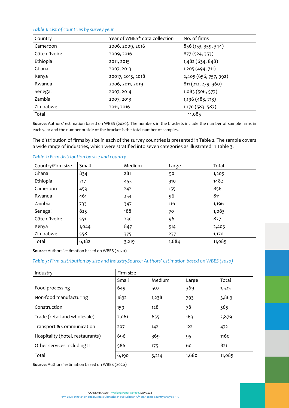# *Table 1: List of countries by survey year*

| Country       | Year of WBES* data collection | No. of firms          |
|---------------|-------------------------------|-----------------------|
| Cameroon      | 2006, 2009, 2016              | 856 (153, 359, 344)   |
| Côte d'Ivoire | 2009, 2016                    | 877 (524, 353)        |
| Ethiopia      | 2011, 2015                    | 1,482 (634, 848)      |
| Ghana         | 2007, 2013                    | 1,205 (494, 711)      |
| Kenya         | 20017, 2013, 2018             | 2,405 (656, 757, 992) |
| Rwanda        | 2006, 2011, 2019              | 811 (212, 239, 360)   |
| Senegal       | 2007, 2014                    | 1,083(506,577)        |
| Zambia        | 2007, 2013                    | 1,196 (483, 713)      |
| Zimbabwe      | 2011, 2016                    | 1,170 (583, 587)      |
| Total         |                               | 11,085                |

**Source:** Authors' estimation based on WBES (2020). The numbers in the brackets include the number of sample firms in each year and the number ouside of the bracket is the total number of samples.

The distribution of firms by size in each of the survey countries is presented in Table 2. The sample covers a wide range of industries, which were stratified into seven categories as illustrated in [Table 3](#page-11-0).

| Country/Firm size | Small | Medium | Large | Total  |
|-------------------|-------|--------|-------|--------|
| Ghana             | 834   | 281    | 90    | 1,205  |
| Ethiopia          | 717   | 455    | 310   | 1482   |
| Cameroon          | 459   | 242    | 155   | 856    |
| Rwanda            | 461   | 254    | 96    | 811    |
| Zambia            | 733   | 347    | 116   | 1,196  |
| Senegal           | 825   | 188    | 70    | 1,083  |
| Côte d'Ivoire     | 551   | 230    | 96    | 877    |
| Kenya             | 1,044 | 847    | 514   | 2,405  |
| Zimbabwe          | 558   | 375    | 237   | 1,170  |
| Total             | 6,182 | 3,219  | 1,684 | 11,085 |

# <span id="page-11-0"></span>*Table 2: Firm distribution by size and country*

**Source:** Authors' estimation based on WBES (2020)

# *Table 3: Firm distribution by size and industrySource: Authors' estimation based on WBES (2020)*

| Industry                         | Firm size |        |       |        |
|----------------------------------|-----------|--------|-------|--------|
|                                  | Small     | Medium | Large | Total  |
| Food processing                  | 649       | 507    | 369   | 1,525  |
| Non-food manufacturing           | 1832      | 1,238  | 793   | 3,863  |
| Construction                     | 159       | 128    | 78    | 365    |
| Trade (retail and wholesale)     | 2,061     | 655    | 163   | 2,879  |
| Transport & Communication        | 207       | 142    | 122   | 472    |
| Hospitality (hotel, restaurants) | 696       | 369    | 95    | 1160   |
| Other services including IT      | 586       | 175    | 60    | 821    |
| Total                            | 6,190     | 3,214  | 1,680 | 11,085 |

**Source:** Authors' estimation based on WBES (2020)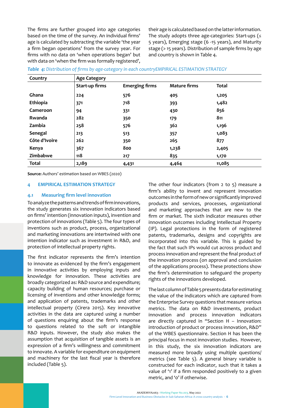<span id="page-12-0"></span>The firms are further grouped into age categories based on the time of the survey. An individual firms' age is calculated by subtracting the variable 'the year a firm began operations' from the survey year. For firms with no data on 'when operations began' but with data on 'when the firm was formally registered',

their age is calculated based on the latter information. The study adopts three age-categories: Start-ups (≤ 5 years), Emerging stage (6 -15 years), and Maturity stage (> 15 years). Distribution of sample firms by age and country is shown in Table 4.

| Country       | <b>Age Category</b> |                       |                     |              |
|---------------|---------------------|-----------------------|---------------------|--------------|
|               | Start-up firms      | <b>Emerging firms</b> | <b>Mature firms</b> | <b>Total</b> |
| Ghana         | 224                 | 576                   | 405                 | 1,205        |
| Ethiopia      | 371                 | 718                   | 393                 | 1,482        |
| Cameroon      | 94                  | 331                   | 430                 | 856          |
| Rwanda        | 282                 | 350                   | 179                 | 811          |
| Zambia        | 258                 | 576                   | 362                 | 1,196        |
| Senegal       | 213                 | 513                   | 357                 | 1,083        |
| Côte d'Ivoire | 262                 | 350                   | 265                 | 877          |
| Kenya         | 367                 | 800                   | 1,238               | 2,405        |
| Zimbabwe      | 118                 | 217                   | 835                 | 1,170        |
| <b>Total</b>  | 2,189               | 4,431                 | 4,464               | 11,085       |

*Table 4: Distribution of firms by age-category in each countryEMPIRICAL ESTIMATION STRATEGY* 

**Source:** Authors' estimation based on WBES (2020)

#### **4 EMPIRICAL ESTIMATION STRATEGY**

#### **4.1 Measuring firm level innovation**

To analyze the patterns and trends of firm innovations, the study generates six innovation indicators based on firms' intention (innovation inputs), invention and protection of innovations (Table 5). The four types of inventions such as product, process, organizational and marketing innovations are intertwined with one intention indicator such as investment in R&D, and protection of intellectual property rights.

The first indicator represents the firm's intention to innovate as evidenced by the firm's engagement in innovative activities by employing inputs and knowledge for innovation. These activities are broadly categorized as: R&D source and expenditure; capacity building of human resources; purchase or licensing of inventions and other knowledge forms; and application of patents, trademarks and other intellectual property (Cirera 2015). Key innovative activities in the data are captured using a number of questions enquiring about the firm's response to questions related to the soft or intangible R&D inputs. However, the study also makes the assumption that acquisition of tangible assets is an expression of a firm's willingness and commitment to innovate. A variable for expenditure on equipment and machinery for the last fiscal year is therefore included [\(Table 5\)](#page-13-1).

The other four indicators (from 2 to 5) measure a firm's ability to invent and represent innovation outcomes in the form of new or significantly improved products and services, processes, organizational and marketing approaches that are new to the firm or market. The sixth indicator measures other innovation outcomes including Intellectual Property (IP). Legal protections in the form of registered patents, trademarks, designs and copyrights are incorporated into this variable. This is guided by the fact that such IPs would cut across product and process innovation and represent the final product of the innovation process (on approval and conclusion of the applications process). These protections show the firm's determination to safeguard the property rights of the innovations developed.

The last column of Table 5 presents data for estimating the value of the indicators which are captured from the Enterprise Survey questions that measure various metrics. The data on R&D investments, product innovation and process innovation indicators are directly captured in "Section H – Innovation: introduction of product or process innovation, R&D" of the WBES questionnaire. Section H has been the principal focus in most innovation studies. However, in this study, the six innovation indicators are measured more broadly using multiple questions/ metrics (see Table 5). A general binary variable is constructed for each indicator, such that it takes a value of '1' if a firm responded positively to a given metric, and '0' if otherwise.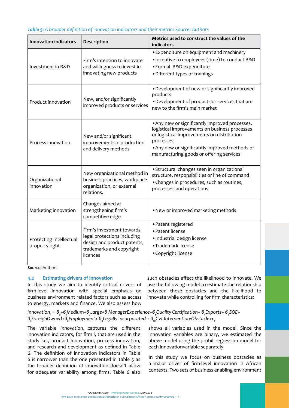# <span id="page-13-1"></span><span id="page-13-0"></span>*Table 5: A broader definition of innovation indicators and their metrics Source: Authors*

| <b>Innovation indicators</b>              | Description                                                                                                                     | Metrics used to construct the values of the<br>indicators                                                                                                                                                                                                 |
|-------------------------------------------|---------------------------------------------------------------------------------------------------------------------------------|-----------------------------------------------------------------------------------------------------------------------------------------------------------------------------------------------------------------------------------------------------------|
| Investment in R&D                         | Firm's intention to innovate<br>and willingness to invest in<br>innovating new products                                         | • Expenditure on equipment and machinery<br>· Incentive to employees (time) to conduct R&D<br>· Formal R&D expenditure<br>· Different types of trainings                                                                                                  |
| Product innovation                        | New, and/or significantly<br>improved products or services                                                                      | • Development of new or significantly improved<br>products<br>. Development of products or services that are<br>new to the firm's main market                                                                                                             |
| Process innovation                        | New and/or significant<br>improvements in production<br>and delivery methods                                                    | . Any new or significantly improved processes,<br>logistical improvements on business processes<br>or logistical improvements on distribution<br>processes,<br>. Any new or significantly improved methods of<br>manufacturing goods or offering services |
| Organizational<br>innovation              | New organizational method in<br>business practices, workplace<br>organization, or external<br>relations.                        | · Structural changes seen in organizational<br>structure, responsibilities or line of command<br>• Changes in procedures, such as routines,<br>processes, and operations                                                                                  |
| Marketing innovation                      | Changes aimed at<br>strengthening firm's<br>competitive edge                                                                    | . New or improved marketing methods                                                                                                                                                                                                                       |
| Protecting Intellectual<br>property right | Firm's investment towards<br>legal protections including<br>design and product patents,<br>trademarks and copyright<br>licences | · Patent registered<br>· Patent license<br>· Industrial design license<br>· Trademark license<br>• Copyright license                                                                                                                                      |

**Source:** Authors

# **4.2 Estimating drivers of innovation**

In this study we aim to identify critical drivers of firm-level innovation with special emphasis on business environment related factors such as access to energy, markets and finance. We also assess how

such obstacles affect the likelihood to innovate. We use the following model to estimate the relationship between these obstacles and the likelihood to innovate while controlling for firm characteristics:

*Innovationi = β<sup>0</sup> +β1 Medium+β<sup>2</sup> Large+β<sup>3</sup> ManagerExperience+β<sup>4</sup> Quality Certification+ β<sup>5</sup> Exports+ β<sup>6</sup> SOE+ β7 ForeignOwned+β<sup>8</sup> Employment+ β<sup>9</sup> Legally Incorporated + β10Gvt Intervention/Obstacle+ε<sup>i</sup>*

The variable Innovation<sub>i</sub> captures the different innovation indicators, for firm *i*, that are used in the study i.e., product innovation, process innovation, and research and development as defined in Table 6. The definition of innovation indicators in Table 6 is narrower than the one presented in Table 5 as the broader definition of innovation doesn't allow for adequate variability among firms. Table 6 also

shows all variables used in the model. Since the innovation variables are binary, we estimated the above model using the probit regression model for each innovationvariable separately.

In this study we focus on business obstacles as a major driver of firm-level innovation in African contexts. Two sets of business enabling environment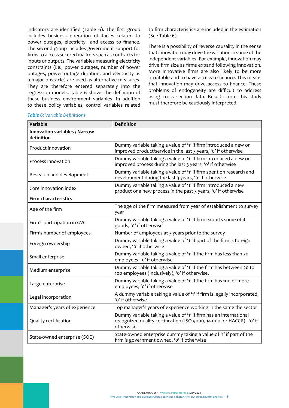indicators are identified (Table 6). The first group includes business operation obstacles related to power outages, electricity and access to finance. The second group includes government support for firms to access secured markets such as contracts for inputs or outputs. The variables measuring electricity constraints (i.e., power outages, number of power outages, power outage duration, and electricity as a major obstacle) are used as alternative measures. They are therefore entered separately into the regression models. Table 6 shows the definition of these business environment variables. In addition to these policy variables, control variables related

#### *Table 6: Variable Definitions*

to firm characteristics are included in the estimation (See Table 6).

There is a possibility of reverse causality in the sense that innovation may drive the variation in some of the independent variables. For example, innovation may drive firm size as firms expand following innovation. More innovative firms are also likely to be more profitable and to have access to finance. This means that innovation may drive access to finance. These problems of endogeneity are difficult to address using cross section data. Results from this study must therefore be cautiously interpreted.

| Variable                                           | <b>Definition</b>                                                                                                                                       |  |  |  |
|----------------------------------------------------|---------------------------------------------------------------------------------------------------------------------------------------------------------|--|--|--|
| <b>Innovation variables / Narrow</b><br>definition |                                                                                                                                                         |  |  |  |
| Product innovation                                 | Dummy variable taking a value of '1' if firm introduced a new or<br>improved product/service in the last 3 years, 'o' if otherwise                      |  |  |  |
| Process innovation                                 | Dummy variable taking a value of '1' if firm introduced a new or<br>improved process during the last 3 years, 'o' if otherwise                          |  |  |  |
| Research and development                           | Dummy variable taking a value of '1' if firm spent on research and<br>development during the last 3 years, 'o' if otherwise                             |  |  |  |
| Core innovation index                              | Dummy variable taking a value of '1' if firm introduced a new<br>product or a new process in the past 3 years, 'o' if otherwise                         |  |  |  |
| <b>Firm characteristics</b>                        |                                                                                                                                                         |  |  |  |
| Age of the firm                                    | The age of the firm measured from year of establishment to survey<br>year                                                                               |  |  |  |
| Firm's participation in GVC                        | Dummy variable taking a value of '1' if firm exports some of it<br>goods, 'o' if otherwise                                                              |  |  |  |
| Firm's number of employees                         | Number of employees at 3 years prior to the survey                                                                                                      |  |  |  |
| Foreign ownership                                  | Dummy variable taking a value of '1' if part of the firm is foreign<br>owned, 'o' if otherwise                                                          |  |  |  |
| Small enterprise                                   | Dummy variable taking a value of '1' if the firm has less than 20<br>employees, 'o' if otherwise                                                        |  |  |  |
| Medium enterprise                                  | Dummy variable taking a value of '1' if the firm has between 20 to<br>100 employees (inclusively), 'o' if otherwise.                                    |  |  |  |
| Large enterprise                                   | Dummy variable taking a value of '1' if the firm has 100 or more<br>employees, 'o' if otherwise                                                         |  |  |  |
| Legal incorporation                                | A dummy variable taking a value of '1' if firm is legally incorporated,<br>'o' if otherwise                                                             |  |  |  |
| Manager's years of experience                      | Top manager's years of experience working in the same the sector                                                                                        |  |  |  |
| Quality certification                              | Dummy variable taking a value of '1' if firm has an international<br>recognized quality certification (ISO 9000, 14 000, or HACCP), 'o' if<br>otherwise |  |  |  |
| State-owned enterprise (SOE)                       | State-owned enterprise dummy taking a value of '1' if part of the<br>firm is government owned, 'o' if otherwise                                         |  |  |  |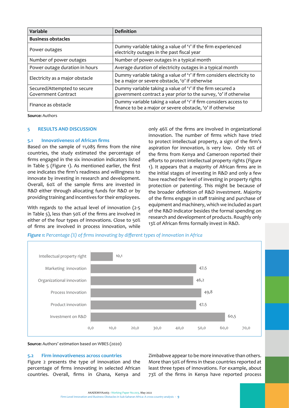<span id="page-15-0"></span>

| <b>Variable</b>                                    | <b>Definition</b>                                                                                                              |  |  |  |  |
|----------------------------------------------------|--------------------------------------------------------------------------------------------------------------------------------|--|--|--|--|
| <b>Business obstacles</b>                          |                                                                                                                                |  |  |  |  |
| Power outages                                      | Dummy variable taking a value of '1' if the firm experienced<br>electricity outages in the past fiscal year                    |  |  |  |  |
| Number of power outages                            | Number of power outages in a typical month                                                                                     |  |  |  |  |
| Power outage duration in hours                     | Average duration of electricity outages in a typical month                                                                     |  |  |  |  |
| Electricity as a major obstacle                    | Dummy variable taking a value of '1' if firm considers electricity to<br>be a major or severe obstacle, 'o' if otherwise       |  |  |  |  |
| Secured/Attempted to secure<br>Government Contract | Dummy variable taking a value of '1' if the firm secured a<br>government contract a year prior to the survey, 'o' if otherwise |  |  |  |  |
| Finance as obstacle                                | Dummy variable taking a value of '1' if firm considers access to<br>finance to be a major or severe obstacle, 'o' if otherwise |  |  |  |  |

**Source:** Authors

#### **5 RESULTS AND DISCUSSION**

#### **5.1 Innovativeness of African firms**

Based on the sample of 11,085 firms from the nine countries, the study estimated the percentage of firms engaged in the six innovation indicators listed in Table 5 (Figure 1). As mentioned earlier, the first one indicates the firm's readiness and willingness to innovate by investing in research and development. Overall, 60% of the sample firms are invested in R&D either through allocating funds for R&D or by providing training and incentives for their employees.

With regards to the actual level of innovation (2-5 in [Table](#page-13-1) *5*), less than 50% of the firms are involved in either of the four types of innovations. Close to 50% of firms are involved in process innovation, while

only 46% of the firms are involved in organizational innovation. The number of firms which have tried to protect intellectual property, a sign of the firm's aspiration for innovation, is very low. Only 10% of the firms from Kenya and Cameroon reported their efforts to protect intellectual property rights (Figure 1). It appears that a majority of African firms are in the initial stages of investing in R&D and only a few have reached the level of investing in property rights protection or patenting. This might be because of the broader definition of R&D investment. Majority of the firms engage in staff training and purchase of equipment and machinery, which we included as part of the R&D indicator besides the formal spending on research and development of products. Roughly only 13% of African firms formally invest in R&D.

#### *Figure 1: Percentage (%) of firms innovating by different types of innovation in Africa*



**Source:** Authors' estimation based on WBES (2020)

#### **5.2 Firm innovativeness across countries**

Figure 2 presents the type of innovation and the percentage of firms innovating in selected African countries. Overall, firms in Ghana, Kenya and Zimbabwe appear to be more innovative than others. More than 50% of firms in these countries reported at least three types of innovations. For example, about 73% of the firms in Kenya have reported process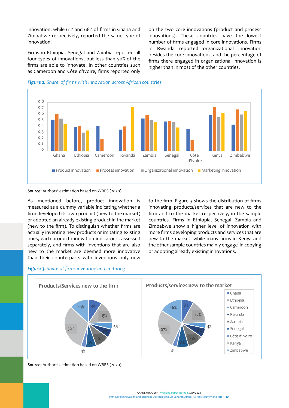innovation, while 61% and 68% of firms in Ghana and Zimbabwe respectively, reported the same type of innovation.

Firms in Ethiopia, Senegal and Zambia reported all four types of innovations, but less than 50% of the firms are able to innovate. In other countries such as Cameroon and Côte d'Ivoire, firms reported only

on the two core innovations (product and process innovations). These countries have the lowest number of firms engaged in core innovations. Firms in Rwanda reported organizational innovation besides the core innovations, and the percentage of firms there engaged in organizational innovation is higher than in most of the other countries.



Ghana Ethiopia Cameroon Rwanda Zambia Senegal Côte

**Product innovation** Process innovation **Proganizational innovation Marketing innovation** 



0 0,1 0,2 0,3 0,4 0,5 0,6

As mentioned before, product innovation is measured as a dummy variable indicating whether a firm developed its own product (new to the market) or adopted an already existing product in the market (new to the firm). To distinguish whether firms are actually inventing new products or imitating existing ones, each product innovation indicator is assessed separately, and firms with inventions that are also new to the market are deemed more innovative than their counterparts with inventions only new

to the firm. Figure 3 shows the distribution of firms innovating products/services that are new to the firm and to the market respectively, in the sample countries. Firms in Ethiopia, Senegal, Zambia and Zimbabwe show a higher level of innovation with more firms developing products and services that are new to the market, while many firms in Kenya and the other sample countries mainly engage in copying or adopting already existing innovations.

d'Ivoire

Kenya Zimbabwe

# *Figure 3: Share of firms inventing and imitating*



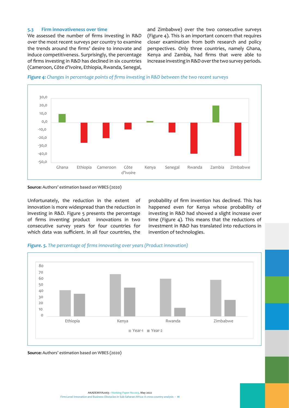#### <span id="page-17-0"></span>**5.3 Firm innovativeness over time**

We assessed the number of firms investing in R&D over the most recent surveys per country to examine the trends around the firms' desire to innovate and induce competitiveness. Surprisingly, the percentage of firms investing in R&D has declined in six countries (Cameroon, Côte d'Ivoire, Ethiopia, Rwanda, Senegal,

and Zimbabwe) over the two consecutive surveys (Figure 4). This is an important concern that requires closer examination from both research and policy perspectives. Only three countries, namely Ghana, Kenya and Zambia, had firms that were able to increase investing in R&D over the two survey periods.





**Source:** Authors' estimation based on WBES (2020)

Unfortunately, the reduction in the extent of innovation is more widespread than the reduction in investing in R&D. Figure 5 presents the percentage of firms inventing product innovations in two consecutive survey years for four countries for which data was sufficient. In all four countries, the

probability of firm invention has declined. This has happened even for Kenya whose probability of investing in R&D had showed a slight increase over time (Figure 4). This means that the reductions of investment in R&D has translated into reductions in invention of technologies.





**Source:** Authors' estimation based on WBES (2020)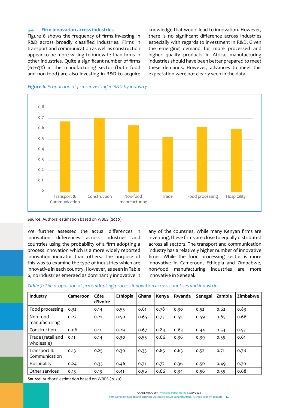# <span id="page-18-0"></span>**5.4 Firm innovation across industries**

Figure 6 shows the frequency of firms investing in R&D across broadly classified industries. Firms in transport and communication as well as construction appear to be more willing to innovate than firms in other industries. Quite a significant number of firms (61-63%) in the manufacturing sector (both food and non-food) are also investing in R&D to acquire

knowledge that would lead to innovation. However, there is no significant difference across industries especially with regards to investment in R&D. Given the emerging demand for more processed and higher quality products in Africa, manufacturing industries should have been better prepared to meet these demands. However, advances to meet this expectation were not clearly seen in the data.





#### **Source:** Authors' estimation based on WBES (2020)

We further assessed the actual differences in innovation differences across industries and countries using the probability of a firm adopting a process innovation which is a more widely reported innovation indicator than others. The purpose of this was to examine the type of industries which are innovative in each country. However, as seen in [Table](#page-18-1) 6, no industries emerged as dominantly innovative in any of the countries. While many Kenyan firms are inventing, these firms are close to equally distributed across all sectors. The transport and communication industry has a relatively higher number of innovative firms. While the food processing sector is more innovative in Cameroon, Ethiopia and Zimbabwe, non-food manufacturing industries are more innovative in Senegal.

| Industry                        | Cameroon | Côte<br>d'Ivoire | Ethiopia | Ghana | Kenya | Rwanda | Senegal | Zambia | Zimbabwe |
|---------------------------------|----------|------------------|----------|-------|-------|--------|---------|--------|----------|
| Food processing                 | 0.32     | 0.14             | 0.55     | 0.61  | 0.78  | 0.30   | 0.52    | 0.62   | 0.83     |
| Non-food<br>manufacturing       | 0.27     | 0.21             | 0.50     | 0.65  | 0.73  | 0.51   | 0.59    | 0.65   | 0.66     |
| Construction                    | 0.06     | 0.11             | 0.29     | 0.67  | 0.83  | 0.63   | 0.44    | 0.53   | 0.57     |
| Trade (retail and<br>wholesale) | 0.11     | 0.14             | 0.30     | 0.55  | 0.66  | 0.36   | 0.39    | 0.55   | 0.61     |
| Transport &<br>Communication    | 0.13     | 0.25             | 0.30     | 0.33  | 0.85  | 0.63   | 0.52    | 0.71   | 0.78     |
| Hospitality                     | 0.24     | 0.33             | 0.46     | 0.71  | 0.77  | 0.36   | 0.50    | 0.49   | 0.70     |
| Other services                  | 0.13     | 0.13             | 0.41     | 0.56  | 0.66  | 0.34   | 0.56    | 0.55   | 0.68     |

# <span id="page-18-1"></span>*Table 7: The proportion of firms adopting process innovation across countries and industries*

**Source:** Authors' estimation based on WBES (2020)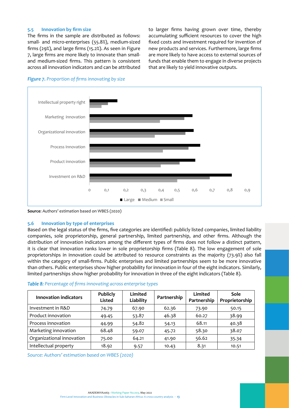#### <span id="page-19-0"></span>**5.5 Innovation by firm size**

The firms in the sample are distributed as follows: small- and micro-enterprises (55.8%), medium-sized firms (29%), and large firms (15.2%). As seen in Figure 7, large firms are more likely to innovate than smalland medium-sized firms. This pattern is consistent across all innovation indicators and can be attributed to larger firms having grown over time, thereby accumulating sufficient resources to cover the high fixed costs and investment required for invention of new products and services. Furthermore, large firms are more likely to have access to external sources of funds that enable them to engage in diverse projects that are likely to yield innovative outputs.



# *Figure 7. Proportion of firms innovating by size*

**Source**: Authors' estimation based on WBES (2020)

#### **5.6 Innovation by type of enterprises**

Based on the legal status of the firms, five categories are identified: publicly listed companies, limited liability companies, sole proprietorship, general partnership, limited partnership, and other firms. Although the distribution of innovation indicators among the different types of firms does not follow a distinct pattern, it is clear that innovation ranks lower in sole proprietorship firms (Table 8). The low engagement of sole proprietorships in innovation could be attributed to resource constraints as the majority (73.9%) also fall within the category of small-firms. Public enterprises and limited partnerships seem to be more innovative than others. Public enterprises show higher probability for innovation in four of the eight indicators. Similarly, limited partnerships show higher probability for innovation in three of the eight indicators ([Table 8](#page-19-1)).

#### <span id="page-19-1"></span>*Table 8: Percentage of firms innovating across enterprise types*

| <b>Innovation indicators</b> | <b>Publicly</b><br><b>Listed</b> | Limited<br>Liability | Partnership |       | <b>Sole</b><br>Proprietorship |
|------------------------------|----------------------------------|----------------------|-------------|-------|-------------------------------|
| Investment in R&D            | 67.90<br>74.79                   |                      | 62.36       | 73.90 | 50.15                         |
| Product innovation           | 49.45                            | 53.87                | 46.38       | 60.27 | 38.99                         |
| Process innovation           | 44.99                            | 54.82                | 54.13       | 68.11 | 40.38                         |
| Marketing innovation         | 68.48                            | 59.07                | 45.72       | 58.30 | 38.07                         |
| Organizational innovation    | 75.00                            | 64.21                | 41.90       | 56.62 | 35.34                         |
| Intellectual property        | 18.92                            | 9.57                 | 10.43       | 8.31  | 10.51                         |

*Source: Authors' estimation based on WBES (2020)*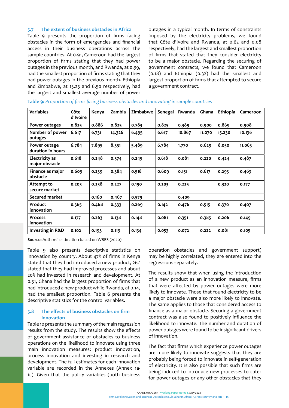#### <span id="page-20-0"></span>**5.7 The extent of business obstacles in Africa**

Table 9 presents the proportion of firms facing obstacles in the form of emergencies and financial access in their business operations across the sample countries. At 0.91, Cameroon had the largest proportion of firms stating that they had power outages in the previous month, and Rwanda, at 0.39, had the smallest proportion of firms stating that they had power outages in the previous month. Ethiopia and Zimbabwe, at 15.23 and 6.50 respectively, had the largest and smallest average number of power

outages in a typical month. In terms of constraints imposed by the electricity problems, we found that Côte d'Ivoire and Rwanda, at 0.62 and 0.08 respectively, had the largest and smallest proportion of firms that stated that they consider electricity to be a major obstacle. Regarding the securing of government contracts, we found that Cameroon (0.18) and Ethiopia (0.32) had the smallest and largest proportion of firms that attempted to secure a government contract.

| <b>Variables</b>                        | Côte<br>d'Ivoire | Kenya | Zambia | Zimbabwe | Senegal | Rwanda | Ghana  | Ethiopia | Cameroon |
|-----------------------------------------|------------------|-------|--------|----------|---------|--------|--------|----------|----------|
| Power outages                           | 0.825            | 0.886 | 0.825  | 0.783    | 0.825   | 0.389  | 0.900  | 0.869    | 0.908    |
| Number of power<br>outages              | 6.617            | 6.731 | 14.326 | 6.495    | 6.617   | 10.867 | 11.070 | 15.230   | 10.136   |
| Power outage<br>duration in hours       | 6.784            | 7.895 | 8.351  | 5.489    | 6.784   | 1.770  | 0.629  | 8.050    | 11.063   |
| <b>Electricity as</b><br>major obstacle | 0.618            | 0.248 | 0.574  | 0.245    | 0.618   | 0.081  | 0.220  | 0.424    | 0.487    |
| Finance as major<br>obstacle            | 0.609            | 0.239 | 0.384  | 0.518    | 0.609   | 0.151  | 0.617  | 0.293    | 0.463    |
| Attempt to<br>secure market             | 0.203            | 0.238 | 0.227  | 0.190    | 0.203   | 0.225  |        | 0.320    | 0.177    |
| Secured market                          |                  | 0.160 | 0.467  | 0.579    |         | 0.409  |        |          |          |
| Product<br>innovation                   | 0.365            | 0.468 | 0.333  | 0.269    | 0.142   | 0.476  | 0.515  | 0.370    | 0.407    |
| <b>Process</b><br>innovation            | 0.177            | 0.263 | 0.138  | 0.148    | 0.081   | 0.351  | 0.385  | 0.206    | 0.149    |
| <b>Investing in R&amp;D</b>             | 0.102            | 0.193 | 0.119  | 0.134    | 0.053   | 0.072  | 0.222  | 0.081    | 0.105    |

| Table 9: Proportion of firms facing business obstacles and innovating in sample countries |  |  |
|-------------------------------------------------------------------------------------------|--|--|
|                                                                                           |  |  |
|                                                                                           |  |  |

**Source:** Authors' estimation based on WBES (2020)

Table 9 also presents descriptive statistics on innovation by country. About 47% of firms in Kenya stated that they had introduced a new product, 26% stated that they had improved processes and about 20% had invested in research and development. At 0.51, Ghana had the largest proportion of firms that had introduced a new product while Rwanda, at 0.14, had the smallest proportion. Table 6 presents the descriptive statistics for the control variables.

### **5.8 The effects of business obstacles on firm innovation**

Table 10 presents the summary of the main regression results from the study. The results show the effects of government assistance or obstacles to business operations on the likelihood to innovate using three main innovation measures: product innovation, process innovation and investing in research and development. The full estimates for each innovation variable are recorded in the Annexes (Annex 1a-1c). Given that the policy variables (both business operation obstacles and government support) may be highly correlated, they are entered into the regressions separately.

The results show that when using the introduction of a new product as an innovation measure, firms that were affected by power outages were more likely to innovate. Those that found electricity to be a major obstacle were also more likely to innovate. The same applies to those that considered access to finance as a major obstacle. Securing a government contract was also found to positively influence the likelihood to innovate. The number and duration of power outages were found to be insignificant drivers of innovation.

The fact that firms which experience power outages are more likely to innovate suggests that they are probably being forced to innovate in self-generation of electricity. It is also possible that such firms are being induced to introduce new processes to cater for power outages or any other obstacles that they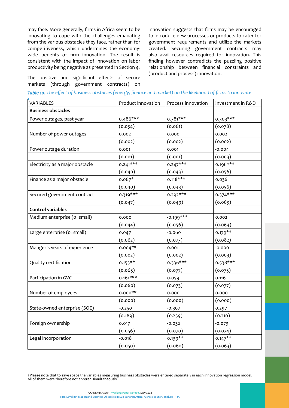may face. More generally, firms in Africa seem to be innovating to cope with the challenges emanating from the various obstacles they face, rather than for competitiveness, which undermines the economywide benefits of firm innovation. The result is consistent with the impact of innovation on labor productivity being negative as presented in Section 4.

The positive and significant effects of secure markets (through government contracts) on innovation suggests that firms may be encouraged to introduce new processes or products to cater for government requirements and utilize the markets created. Securing government contracts may also avail resources required for innovation. This finding however contradicts the puzzling positive relationship between financial constraints and (product and process) innovation.

| VARIABLES                       | Product innovation | Process innovation | Investment in R&D |
|---------------------------------|--------------------|--------------------|-------------------|
| <b>Business obstacles</b>       |                    |                    |                   |
| Power outages, past year        | 0.486***           | 0.381***           | $0.303***$        |
|                                 | (0.054)            | (0.061)            | (0.078)           |
| Number of power outages         | 0.002              | 0.000              | 0.002             |
|                                 | (0.002)            | (0.002)            | (0.002)           |
| Power outage duration           | 0.001              | 0.001              | $-0.004$          |
|                                 | (0.001)            | (0.001)            | (0.003)           |
| Electricity as a major obstacle | $0.241***$         | $0.247***$         | $0.196***$        |
|                                 | (0.040)            | (0.043)            | (0.056)           |
| Finance as a major obstacle     | $0.067*$           | $0.118***$         | 0.036             |
|                                 | (0.040)            | (0.043)            | (0.056)           |
| Secured government contract     | 0.319***           | $0.292***$         | $0.374***$        |
|                                 | (0.047)            | (0.049)            | (0.063)           |
| <b>Control variables</b>        |                    |                    |                   |
| Medium enterprise (o=small)     | 0.000              | $-0.199***$        | 0.002             |
|                                 | (0.044)            | (0.056)            | (0.064)           |
| Large enterprise (o=small)      | 0.047              | $-0.060$           | $0.179**$         |
|                                 | (0.062)            | (0.073)            | (0.082)           |
| Manger's years of experience    | $0.004**$          | 0.001              | $-0.000$          |
|                                 | (0.002)            | (0.002)            | (0.003)           |
| Quality certification           | $0.153**$          | 0.336***           | 0.538***          |
|                                 | (0.065)            | (0.077)            | (0.075)           |
| Participation in GVC            | $0.161***$         | 0.059              | 0.116             |
|                                 | (0.060)            | (0.073)            | (0.077)           |
| Number of employees             | $0.000**$          | 0.000              | 0.000             |
|                                 | (0.000)            | (0.000)            | (0.000)           |
| State-owned enterprise (SOE)    | $-0.250$           | $-0.307$           | 0.297             |
|                                 | (0.189)            | (0.259)            | (0.210)           |
| Foreign ownership               | 0.017              | $-0.032$           | $-0.073$          |
|                                 | (0.056)            | (0.070)            | (0.074)           |
| Legal incorporation             | $-0.018$           | $0.139**$          | $0.147**$         |
|                                 | (0.050)            | (0.060)            | (0.063)           |

| Table 10. The effect of business obstacles (energy, finance and market) on the likelihood of firms to innovate |  |  |
|----------------------------------------------------------------------------------------------------------------|--|--|
|----------------------------------------------------------------------------------------------------------------|--|--|

<sup>1</sup> Please note that to save space the variables measuring business obstacles were entered separately in each innovation regression model. All of them were therefore not entered simultaneously.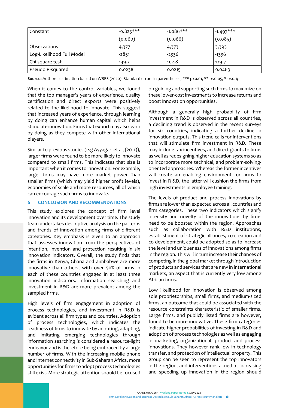<span id="page-22-0"></span>

| Constant                  | $-0.825***$ | $-1.086***$ | $-1.497***$ |
|---------------------------|-------------|-------------|-------------|
|                           | (0.060)     | (0.066)     | (0.085)     |
| Observations              | 4,377       | 4,373       | 3,393       |
| Log-Likelihood Full Model | $-2851$     | $-2336$     | $-1336$     |
| Chi-square test           | 139.2       | 102.8       | 129.7       |
| Pseudo R-squared          | 0.0238      | 0.0215      | 0.0463      |

**Source:** Authors' estimation based on WBES (2020): Standard errors in parentheses, \*\*\* p<0.01, \*\* p<0.05, \* p<0.1;

When it comes to the control variables, we found that the top manager's years of experience, quality certification and direct exports were positively related to the likelihood to innovate. This suggest that increased years of experience, through learning by doing can enhance human capital which helps stimulate innovation. Firms that export may also learn by doing as they compete with other international players.

Similar to previous studies (e.g Ayyagari et al, (2011)), larger firms were found to be more likely to innovate compared to small firms. This indicates that size is important when it comes to innovation. For example, larger firms may have more market power than smaller firms (which may yield higher profit levels), economies of scale and more resources, all of which can encourage such firms to innovate.

#### **6 CONCLUSION AND RECOMMENDATIONS**

This study explores the concept of firm level innovation and its development over time. The study team undertakes descriptive analysis on the patterns and trends of innovation among firms of different categories. Key emphasis is given to an approach that assesses innovation from the perspectives of intention, invention and protection resulting in six innovation indicators. Overall, the study finds that the firms in Kenya, Ghana and Zimbabwe are more innovative than others, with over 50% of firms in each of these countries engaged in at least three innovation indicators. Information searching and investment in R&D are more prevalent among the sampled firms.

High levels of firm engagement in adoption of process technologies, and investment in R&D is evident across all firm types and countries. Adoption of process technologies, which indicates the readiness of firms to innovate by adopting, adapting, and imitating emerging technologies through information searching is considered a resource-light endeavor and is therefore being embraced by a large number of firms. With the increasing mobile phone and internet connectivity in Sub-Saharan Africa, more opportunities for firms to adopt process technologies still exist. More strategic attention should be focused

on guiding and supporting such firms to maximize on these lower-cost investments to increase returns and boost innovation opportunities.

Although a generally high probability of firm investment in R&D is observed across all countries, a declining trend is observed in the recent surveys for six countries, indicating a further decline in innovation outputs. This trend calls for interventions that will stimulate firm investment in R&D. These may include tax incentives, and direct grants to firms as well as redesigning higher education systems so as to incorporate more technical, and problem-solvingoriented approaches. Whereas the former incentives will create an enabling environment for firms to invest in R &D, the latter will cushion the firms from high investments in employee training.

The levels of product and process innovations by firms are lower than expected across all countries and firm categories. These two indicators which signify intensity and novelty of the innovations by firms need to be boosted within the region. Approaches such as collaboration with R&D institutions, establishment of strategic alliances, co-creation and co-development, could be adopted so as to increase the level and uniqueness of innovations among firms in the region. This will in turn increase their chances of competing in the global market through introduction of products and services that are new in international markets, an aspect that is currently very low among African firms.

Low likelihood for innovation is observed among sole proprietorships, small firms, and medium-sized firms, an outcome that could be associated with the resource constraints characteristic of smaller firms. Large firms, and publicly listed firms are however, found to be more innovative. These firm categories indicate higher probabilities of investing in R&D and adoption of process technologies as well as engaging in marketing, organizational, product and process innovations. They however rank low in technology transfer, and protection of intellectual property. This group can be seen to represent the top innovators in the region, and interventions aimed at increasing and speeding up innovation in the region should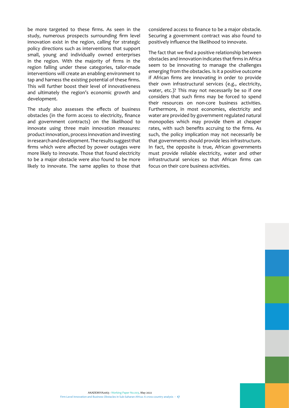be more targeted to these firms. As seen in the study, numerous prospects surrounding firm level innovation exist in the region, calling for strategic policy directions such as interventions that support small, young and individually owned enterprises in the region. With the majority of firms in the region falling under these categories, tailor-made interventions will create an enabling environment to tap and harness the existing potential of these firms. This will further boost their level of innovativeness and ultimately the region's economic growth and development.

The study also assesses the effects of business obstacles (in the form access to electricity, finance and government contracts) on the likelihood to innovate using three main innovation measures: product innovation, process innovation and investing in research and development. The results suggest that firms which were affected by power outages were more likely to innovate. Those that found electricity to be a major obstacle were also found to be more likely to innovate. The same applies to those that considered access to finance to be a major obstacle. Securing a government contract was also found to positively influence the likelihood to innovate.

The fact that we find a positive relationship between obstacles and innovation indicates that firms in Africa seem to be innovating to manage the challenges emerging from the obstacles. Is it a positive outcome if African firms are innovating in order to provide their own infrastructural services (e.g., electricity, water, etc.)? This may not necessarily be so if one considers that such firms may be forced to spend their resources on non-core business activities. Furthermore, in most economies, electricity and water are provided by government regulated natural monopolies which may provide them at cheaper rates, with such benefits accruing to the firms. As such, the policy implication may not necessarily be that governments should provide less infrastructure. In fact, the opposite is true, African governments must provide reliable electricity, water and other infrastructural services so that African firms can focus on their core business activities.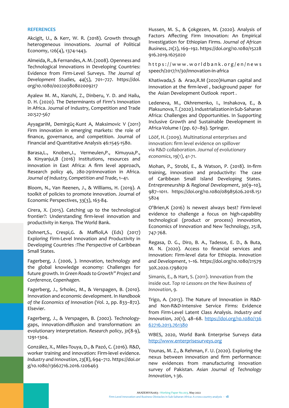#### <span id="page-24-0"></span>**REFERENCES**

Akcigit, U., & Kerr, W. R. (2018). Growth through heterogeneous innovations. Journal of Political Economy, 126(4), 1374-1443.

Almeida, R., & Fernandes, A. M. (2008). Openness and Technological Innovations in Developing Countries: Evidence from Firm-Level Surveys. *The Journal of Development Studies*, *44*(5), 701–727. https://doi. org/10.1080/00220380802009217

Ayalew M. M., Xianzhi, Z., Dinberu, Y. D. and Hailu, D. H. (2020). The Determinants of Firm's Innovation in Africa. Journal of Industry, Competition and Trade 20:527-567

AyyagariM, Demirgüç-Kunt A, Maksimovic V (2011) Firm innovation in emerging markets: the role of finance, governance, and competition. Journal of Financial and Quantitative Analysis 46:1545-1580.

Barasa,L., Knoben,J., Vermeulen,P., Kimuyua,P., & Kinyanjui,B (2016) Institutions, resources and innovation in East Africa: A firm level approach, Research policy 46, 280-291Innovation in Africa. *Journal of Industry, Competition and Trade*, 1–41.

Bloom, N., Van Reenen, J., & Williams, H. (2019). A toolkit of policies to promote innovation. Journal of Economic Perspectives, 33(3), 163-84.

Cirera, X. (2015). Catching up to the technological frontier?: Understanding firm-level innovation and productivity in Kenya. The World Bank.

Dohnert,S., Crespi,G. & Maffioli,A (Eds) (2017) Exploring Firm-Level Innovation and Productivity in Developing Countries :The Perspective of Caribbean Small States.

Fagerberg, J. (2006, ). Innovation, technology and the global knowledge economy: Challenges for future growth. In *Green Roads to Growth" Project and Conference, Copenhagen*.

Fagerberg, J., Srholec, M., & Verspagen, B. (2010). Innovation and economic development. In *Handbook of the Economics of Innovation* (Vol. 2, pp. 833–872). Elsevier.

Fagerberg, J., & Verspagen, B. (2002). Technologygaps, innovation-diffusion and transformation: an evolutionary interpretation. *Research policy*, *31*(8-9), 1291-1304.

González, X., Miles-Touya, D., & Pazó, C. (2016). R&D, worker training and innovation: Firm-level evidence. *Industry and Innovation*, *23*(8), 694–712. https://doi.or g/10.1080/13662716.2016.1206463

Hussen, M. S., & Çokgezen, M. (2020). Analysis of Factors Affecting Firm Innovation: An Empirical Investigation for Ethiopian Firms. *Journal of African Business*, *21*(2), 169–192. https://doi.org/10.1080/15228 916.2019.1625020

https://www.worldbank.org/en/news speech/2017/11/30/innovation-in-africa

Khatiwada,S & Arao,R.M (2020)Human capital and innovation at the firm-level , background paper for the Asian Development Outlook report .

Ledeneva, M., Okhremenko, I., Inshakova, E., & Plaksunova, T. (2020). Industrialization in Sub-Saharan Africa: Challenges and Opportunities. In Supporting Inclusive Growth and Sustainable Development in Africa-Volume I (pp. 67–89). Springer.

Lööf, H. (2009). Multinational enterprises and innovation: firm level evidence on spillover via R&D collaboration. *Journal of evolutionary economics*, *19*(1), 41-71.

Mohan, P., Strobl, E., & Watson, P. (2018). In-firm training, innovation and productivity: The case of Caribbean Small Island Developing States. *Entrepreneurship & Regional Development*, *30*(9–10), 987–1011. https://doi.org/10.1080/08985626.2018.151 5824

O'Brien,K (2016) Is newest always best? Firm-level evidence to challenge a focus on high-capability technological (product or process) innovation, Economics of Innovation and New Technology, 25:8, 747-768.

Regasa, D. G., Diro, B. A., Tadesse, E. D., & Buta, M. N. (2020). Access to financial services and innovation: Firm-level data for Ethiopia. *Innovation and Development*, 1–16. https://doi.org/10.1080/21579 30X.2020.1798070

Simanis, E., & Hart, S. (2011). Innovation from the inside out. *Top 10 Lessons on the New Business of Innovation*, *9*.

Trigo, A. (2013). The Nature of Innovation in R&Dand Non-R&D-Intensive Service Firms: Evidence from Firm-Level Latent Class Analysis. *Industry and Innovation*, *20*(1), 48–68. [https://doi.org/10.1080/136](http://extwprlegs1.fao.org/docs/pdf/Mli192037.pdf) [62716.2013.761380](http://extwprlegs1.fao.org/docs/pdf/Mli192037.pdf)

WBES, 2020, World Bank Enterprise Surveys data [http://www.enterprisesurveys.org](http://bamakonews.net/2019/08/importation-du-lait-le-mali-investit-plus-de-18-milliards-fcfa/)

Younas, M. Z., & Rehman, F. U. (2020). Exploring the nexus between innovation and firm performance: new evidences from manufacturing innovation survey of Pakistan. *Asian Journal of Technology Innovation*, 1-36.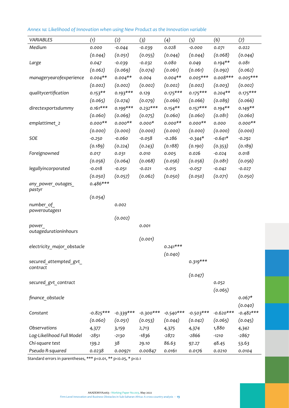|  |  |  | Annex 1a: Likelihood of Innovation when using New Product as the Innovation variable |
|--|--|--|--------------------------------------------------------------------------------------|
|--|--|--|--------------------------------------------------------------------------------------|

| VARIABLES                          | (1)         | (2)         | (3)         | (4)         | (5)         | (6)         | (7)         |
|------------------------------------|-------------|-------------|-------------|-------------|-------------|-------------|-------------|
| Medium                             | 0.000       | $-0.044$    | $-0.039$    | 0.028       | $-0.000$    | 0.071       | 0.022       |
|                                    | (0.044)     | (0.051)     | (0.055)     | (0.044)     | (0.044)     | (0.068)     | (0.044)     |
| Large                              | 0.047       | $-0.039$    | $-0.032$    | 0.080       | 0.049       | $0.194**$   | 0.081       |
|                                    | (0.062)     | (0.069)     | (0.074)     | (0.061)     | (0.061)     | (0.092)     | (0.062)     |
| manageryearofexperience            | $0.004**$   | $0.004**$   | 0.004       | $0.004**$   | $0.005***$  | $0.008***$  | $0.005***$  |
|                                    | (0.002)     | (0.002)     | (0.002)     | (0.002)     | (0.002)     | (0.003)     | (0.002)     |
| qualitycertification               | $0.153**$   | $0.193***$  | 0.129       | $0.175***$  | $0.175***$  | $0.204**$   | $0.175***$  |
|                                    | (0.065)     | (0.074)     | (0.079)     | (0.066)     | (0.066)     | (0.089)     | (0.066)     |
| directexportsdummy                 | $0.161***$  | 0.199***    | $0.232***$  | $0.154***$  | $0.157***$  | $0.194***$  | $0.149**$   |
|                                    | (0.060)     | (0.069)     | (0.075)     | (0.060)     | (0.060)     | (0.081)     | (0.060)     |
| emplattimet_2                      | $0.000**$   | $0.000**$   | $0.000*$    | $0.000**$   | $0.000**$   | 0.000       | $0.000**$   |
|                                    | (0.000)     | (0.000)     | (0.000)     | (0.000)     | (0.000)     | (0.000)     | (0.000)     |
| SOE                                | $-0.250$    | $-0.060$    | $-0.058$    | $-0.286$    | $-0.344*$   | $-0.641*$   | $-0.292$    |
|                                    | (0.189)     | (0.224)     | (0.243)     | (0.188)     | (0.190)     | (0.353)     | (0.189)     |
| Foreignowned                       | 0.017       | 0.031       | 0.010       | 0.005       | 0.026       | $-0.024$    | 0.018       |
|                                    | (0.056)     | (0.064)     | (0.068)     | (0.056)     | (0.056)     | (0.081)     | (0.056)     |
| legallyincorporated                | $-0.018$    | $-0.051$    | $-0.021$    | $-0.015$    | $-0.057$    | $-0.042$    | $-0.027$    |
|                                    | (0.050)     | (0.057)     | (0.062)     | (0.050)     | (0.050)     | (0.071)     | (0.050)     |
| any_power_outages_<br>pastyr       | 0.486***    |             |             |             |             |             |             |
|                                    | (0.054)     |             |             |             |             |             |             |
| number of                          |             | 0.002       |             |             |             |             |             |
| poweroutages1                      |             |             |             |             |             |             |             |
|                                    |             | (0.002)     |             |             |             |             |             |
| power                              |             |             | 0.001       |             |             |             |             |
| outagedurationinhours              |             |             |             |             |             |             |             |
|                                    |             |             | (0.001)     |             |             |             |             |
| electricity_major_obstacle         |             |             |             | $0.241***$  |             |             |             |
|                                    |             |             |             | (0.040)     |             |             |             |
| secured_attempted_gvt_<br>contract |             |             |             |             | 0.319***    |             |             |
|                                    |             |             |             |             | (0.047)     |             |             |
| secured gvt contract               |             |             |             |             |             | 0.052       |             |
|                                    |             |             |             |             |             | (0.065)     |             |
| finance obstacle                   |             |             |             |             |             |             | $0.067*$    |
|                                    |             |             |             |             |             |             | (0.040)     |
| Constant                           | $-0.825***$ | $-0.339***$ | $-0.300***$ | $-0.540***$ | $-0.503***$ | $-0.620***$ | $-0.482***$ |
|                                    | (0.060)     | (0.051)     | (0.053)     | (0.044)     | (0.042)     | (0.065)     | (0.045)     |
| Observations                       | 4,377       | 3,159       | 2,713       | 4,375       | 4,374       | 1,880       | 4,342       |
| Log-Likelihood Full Model          | $-2851$     | $-2130$     | $-1836$     | $-2872$     | $-2866$     | $-1210$     | $-2867$     |
| Chi-square test                    | 139.2       | 38          | 29.10       | 86.63       | 97.27       | 48.45       | 53.63       |
| Pseudo R-squared                   | 0.0238      | 0.00971     | 0.00847     | 0.0161      | 0.0176      | 0.0210      | 0.0104      |

Standard errors in parentheses, \*\*\* p<0.01, \*\* p<0.05, \* p<0.1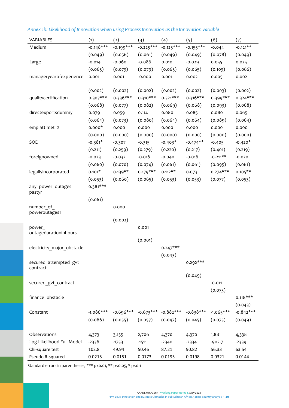| VARIABLES                          | (1)         | (2)         | (3)         | (4)         | (5)         | (6)         | (7)         |
|------------------------------------|-------------|-------------|-------------|-------------|-------------|-------------|-------------|
| Medium                             | $-0.148***$ | $-0.199***$ | $-0.225***$ | $-0.125***$ | $-0.155***$ | $-0.044$    | $-0.121**$  |
|                                    | (0.049)     | (0.056)     | (0.061)     | (0.049)     | (0.049)     | (0.078)     | (0.049)     |
| Large                              | $-0.014$    | $-0.060$    | $-0.086$    | 0.010       | $-0.029$    | 0.055       | 0.025       |
|                                    | (0.065)     | (0.073)     | (0.079)     | (0.065)     | (0.065)     | (0.103)     | (0.066)     |
| manageryearofexperience            | 0.001       | 0.001       | $-0.000$    | 0.001       | 0.002       | 0.005       | 0.002       |
|                                    |             |             |             |             |             |             |             |
|                                    | (0.002)     | (0.002)     | (0.002)     | (0.002)     | (0.002)     | (0.003)     | (0.002)     |
| qualitycertification               | $0.307***$  | 0.336***    | $0.310***$  | $0.321***$  | $0.316***$  | 0.399***    | $0.324***$  |
|                                    | (0.068)     | (0.077)     | (0.082)     | (0.069)     | (0.068)     | (0.093)     | (0.068)     |
| directexportsdummy                 | 0.079       | 0.059       | 0.114       | 0.080       | 0.085       | 0.080       | 0.065       |
|                                    | (0.064)     | (0.073)     | (0.080)     | (0.064)     | (0.064)     | (0.089)     | (0.064)     |
| emplattimet_2                      | $0.000*$    | 0.000       | 0.000       | 0.000       | 0.000       | 0.000       | 0.000       |
|                                    | (0.000)     | (0.000)     | (0.000)     | (0.000)     | (0.000)     | (0.000)     | (0.000)     |
| SOE                                | $-0.381*$   | $-0.307$    | $-0.315$    | $-0.403*$   | $-0.474**$  | $-0.405$    | $-0.420*$   |
|                                    | (0.211)     | (0.259)     | (0.279)     | (0.220)     | (0.217)     | (0.401)     | (0.219)     |
| foreignowned                       | $-0.023$    | $-0.032$    | $-0.016$    | $-0.040$    | $-0.016$    | $-0.211**$  | $-0.020$    |
|                                    | (0.060)     | (0.070)     | (0.074)     | (0.061)     | (0.061)     | (0.095)     | (0.061)     |
| legallyincorporated                | $0.101*$    | $0.139**$   | $0.179***$  | $0.112**$   | 0.073       | $0.274***$  | $0.105***$  |
|                                    | (0.053)     | (0.060)     | (0.065)     | (0.053)     | (0.053)     | (0.077)     | (0.053)     |
| any_power_outages_<br>pastyr       | $0.381***$  |             |             |             |             |             |             |
|                                    | (0.061)     |             |             |             |             |             |             |
| number of                          |             | 0.000       |             |             |             |             |             |
| poweroutages1                      |             |             |             |             |             |             |             |
|                                    |             | (0.002)     |             |             |             |             |             |
| power                              |             |             | 0.001       |             |             |             |             |
| outagedurationinhours              |             |             |             |             |             |             |             |
|                                    |             |             | (0.001)     |             |             |             |             |
| electricity major obstacle         |             |             |             | $0.247***$  |             |             |             |
|                                    |             |             |             | (0.043)     |             |             |             |
| secured_attempted_gvt_<br>contract |             |             |             |             | $0.292***$  |             |             |
|                                    |             |             |             |             | (0.049)     |             |             |
| secured_gvt_contract               |             |             |             |             |             | $-0.011$    |             |
|                                    |             |             |             |             |             | (0.073)     |             |
| finance_obstacle                   |             |             |             |             |             |             | $0.118***$  |
|                                    |             |             |             |             |             |             | (0.043)     |
| Constant                           | $-1.086***$ | $-0.696***$ | -0.673***   | $-0.882***$ | $-0.838***$ | $-1.065***$ | $-0.842***$ |
|                                    | (0.066)     | (0.055)     | (0.057)     | (0.047)     | (0.045)     | (0.073)     | (0.049)     |
|                                    |             |             |             |             |             |             |             |
| Observations                       | 4,373       | 3,155       | 2,706       | 4,370       | 4,370       | 1,881       | 4,338       |
| Log-Likelihood Full Model          | $-2336$     | $-1753$     | $-1511$     | $-2340$     | $-2334$     | $-902.7$    | $-2339$     |
| Chi-square test                    | 102.8       | 49.94       | 50.46       | 87.21       | 90.82       | 56.33       | 63.54       |
| Pseudo R-squared                   | 0.0215      | 0.0151      | 0.0173      | 0.0195      | 0.0198      | 0.0321      | 0.0144      |

Standard errors in parentheses, \*\*\* p<0.01, \*\* p<0.05, \* p<0.1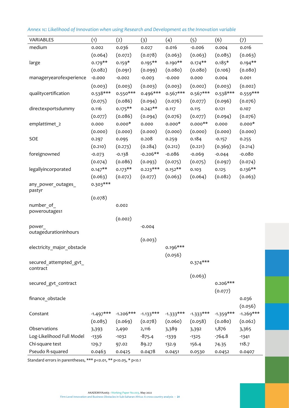|  |  |  | Annex 1c: Likelihood of Innovation when using Research and Development as the Innovation variable |  |
|--|--|--|---------------------------------------------------------------------------------------------------|--|
|--|--|--|---------------------------------------------------------------------------------------------------|--|

| VARIABLES                          | (1)         | (2)         | (3)         | (4)         | (5)         | (6)         | (7)         |
|------------------------------------|-------------|-------------|-------------|-------------|-------------|-------------|-------------|
| medium                             | 0.002       | 0.036       | 0.027       | 0.016       | $-0.006$    | 0.004       | 0.016       |
|                                    | (0.064)     | (0.072)     | (0.078)     | (0.063)     | (0.063)     | (0.085)     | (0.063)     |
| large                              | $0.179**$   | $0.159*$    | $0.195***$  | $0.190**$   | $0.174***$  | $0.185*$    | $0.194***$  |
|                                    | (0.082)     | (0.091)     | (0.099)     | (0.080)     | (0.080)     | (0.106)     | (0.080)     |
| manageryearofexperience            | $-0.000$    | $-0.002$    | $-0.003$    | $-0.000$    | 0.000       | 0.004       | 0.001       |
|                                    | (0.003)     | (0.003)     | (0.003)     | (0.003)     | (0.002)     | (0.003)     | (0.002)     |
| qualitycertification               | $0.538***$  | $0.550***$  | $0.496***$  | $0.567***$  | $0.567***$  | $0.538***$  | $0.559***$  |
|                                    | (0.075)     | (0.086)     | (0.094)     | (0.076)     | (0.077)     | (0.096)     | (0.076)     |
| directexportsdummy                 | 0.116       | $0.175***$  | $0.242**$   | 0.117       | 0.115       | 0.121       | 0.107       |
|                                    | (0.077)     | (0.086)     | (0.094)     | (0.076)     | (0.077)     | (0.094)     | (0.076)     |
| emplattimet_2                      | 0.000       | $0.000*$    | 0.000       | $0.000*$    | $0.000**$   | 0.000       | $0.000*$    |
|                                    | (0.000)     | (0.000)     | (0.000)     | (0.000)     | (0.000)     | (0.000)     | (0.000)     |
| SOE                                | 0.297       | 0.095       | 0.208       | 0.259       | 0.184       | $-0.157$    | 0.255       |
|                                    | (0.210)     | (0.273)     | (0.284)     | (0.212)     | (0.221)     | (0.369)     | (0.214)     |
| foreignowned                       | $-0.073$    | $-0.138$    | $-0.206**$  | $-0.086$    | $-0.069$    | $-0.044$    | $-0.080$    |
|                                    | (0.074)     | (0.086)     | (0.093)     | (0.075)     | (0.075)     | (0.097)     | (0.074)     |
| legallyincorporated                | $0.147**$   | $0.173***$  | $0.223***$  | $0.152**$   | 0.103       | 0.125       | $0.136**$   |
|                                    | (0.063)     | (0.072)     | (0.077)     | (0.063)     | (0.064)     | (0.082)     | (0.063)     |
| any_power_outages_<br>pastyr       | $0.303***$  |             |             |             |             |             |             |
|                                    | (0.078)     |             |             |             |             |             |             |
| number_of_<br>poweroutages1        |             | 0.002       |             |             |             |             |             |
|                                    |             | (0.002)     |             |             |             |             |             |
| power                              |             |             | $-0.004$    |             |             |             |             |
| outagedurationinhours              |             |             |             |             |             |             |             |
|                                    |             |             | (0.003)     |             |             |             |             |
| electricity_major_obstacle         |             |             |             | 0.196***    |             |             |             |
|                                    |             |             |             | (0.056)     |             |             |             |
| secured_attempted_gvt_<br>contract |             |             |             |             | $0.374***$  |             |             |
|                                    |             |             |             |             | (0.063)     |             |             |
| secured_gvt_contract               |             |             |             |             |             | 0.206***    |             |
|                                    |             |             |             |             |             | (0.077)     |             |
| finance_obstacle                   |             |             |             |             |             |             | 0.036       |
|                                    |             |             |             |             |             |             | (0.056)     |
| Constant                           | $-1.497***$ | $-1.206***$ | $-1.133***$ | $-1.333***$ | $-1.333***$ | $-1.359***$ | $-1.269***$ |
|                                    | (0.085)     | (0.069)     | (0.078)     | (0.060)     | (0.058)     | (0.080)     | (0.062)     |
| Observations                       | 3,393       | 2,490       | 2,116       | 3,389       | 3,392       | 1,876       | 3,365       |
| Log-Likelihood Full Model          | $-1336$     | $-1032$     | $-875.4$    | $-1339$     | $-1325$     | $-764.8$    | $-1341$     |
| Chi-square test                    | 129.7       | 97.02       | 89.27       | 132.9       | 156.4       | 74.35       | 118.7       |
| Pseudo R-squared                   | 0.0463      | 0.0425      | 0.0478      | 0.0451      | 0.0530      | 0.0452      | 0.0407      |

Standard errors in parentheses, \*\*\* p<0.01, \*\* p<0.05, \* p<0.1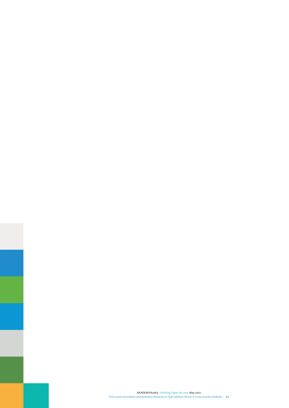AKADEMIYA2063 - Working Paper No.003, May 2022 Firm-Level Innovation and Business Obstacles in Sub-Saharan Africa: A cross-country analysis - **22**